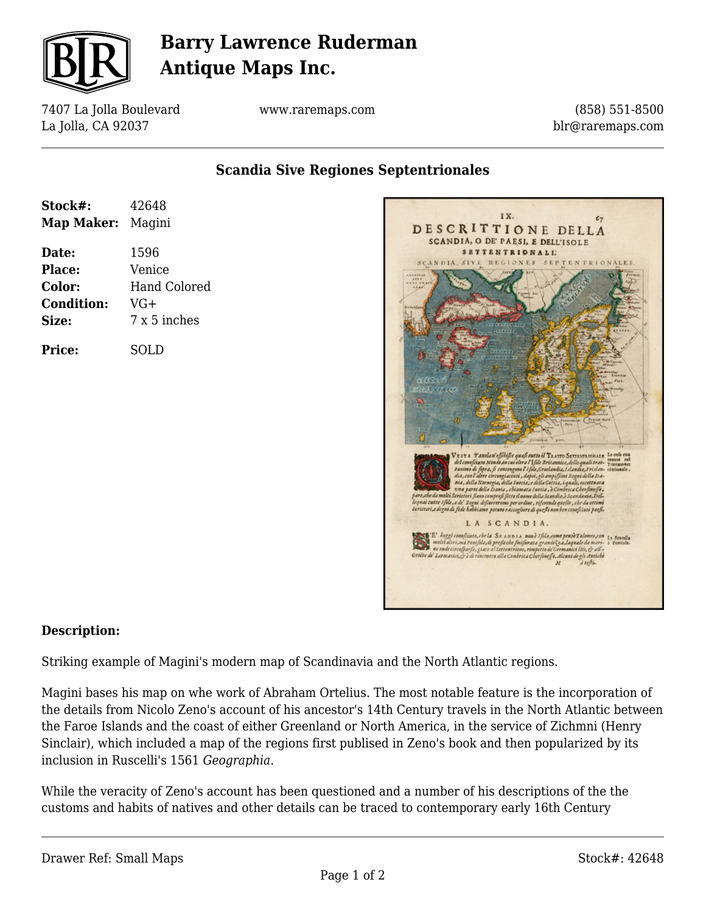

# **Barry Lawrence Ruderman Antique Maps Inc.**

7407 La Jolla Boulevard La Jolla, CA 92037

www.raremaps.com

(858) 551-8500 blr@raremaps.com

**Scandia Sive Regiones Septentrionales**

| Stock#:<br><b>Map Maker:</b> Magini | 42648        |
|-------------------------------------|--------------|
| Date:                               | 1596         |
| Place:                              | Venice       |
| Color:                              | Hand Colored |
| <b>Condition:</b>                   | VG+          |
| Size:                               | 7 x 5 inches |
| <b>Price:</b>                       | SOLD         |



#### **Description:**

Striking example of Magini's modern map of Scandinavia and the North Atlantic regions.

Magini bases his map on whe work of Abraham Ortelius. The most notable feature is the incorporation of the details from Nicolo Zeno's account of his ancestor's 14th Century travels in the North Atlantic between the Faroe Islands and the coast of either Greenland or North America, in the service of Zichmni (Henry Sinclair), which included a map of the regions first publised in Zeno's book and then popularized by its inclusion in Ruscelli's 1561 *Geographia.*

While the veracity of Zeno's account has been questioned and a number of his descriptions of the the customs and habits of natives and other details can be traced to contemporary early 16th Century